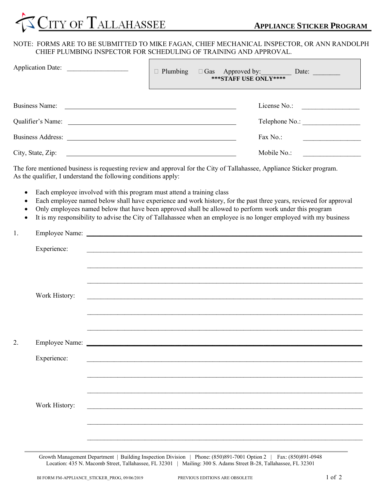

## NOTE: FORMS ARE TO BE SUBMITTED TO MIKE FAGAN, CHIEF MECHANICAL INSPECTOR, OR ANN RANDOLPH CHIEF PLUMBING INSPECTOR FOR SCHEDULING OF TRAINING AND APPROVAL.

 $\Gamma$ 

| Application Date: | <b>***STAFF USE ONLY****</b> | □ Plumbing □ Gas Approved by: Date: Date:                |
|-------------------|------------------------------|----------------------------------------------------------|
| Business Name:    |                              | License No.:                                             |
|                   |                              | Telephone No.:                                           |
|                   |                              | Fax No.:<br>the control of the control of the control of |
|                   |                              | Mobile No.:                                              |

The fore mentioned business is requesting review and approval for the City of Tallahassee, Appliance Sticker program. As the qualifier, I understand the following conditions apply:

- Each employee involved with this program must attend a training class
- Each employee named below shall have experience and work history, for the past three years, reviewed for approval
- Only employees named below that have been approved shall be allowed to perform work under this program
- It is my responsibility to advise the City of Tallahassee when an employee is no longer employed with my business

| 1. |               |                                                                       |
|----|---------------|-----------------------------------------------------------------------|
|    |               |                                                                       |
|    | Experience:   |                                                                       |
|    |               |                                                                       |
|    |               |                                                                       |
|    |               |                                                                       |
|    | Work History: | <u> 1999 - Jan James James Barnett, amerikan berlindar (h. 1989).</u> |
|    |               |                                                                       |
|    |               |                                                                       |
|    |               | <u> 1980 - Jan Baratti, martxa al III-lea (h. 1980).</u>              |
| 2. |               |                                                                       |
|    |               |                                                                       |
|    | Experience:   | <u> 1989 - John Stone, amerikansk politiker (d. 1989)</u>             |
|    |               |                                                                       |
|    |               |                                                                       |
|    |               | <u> 1989 - John Stone, Amerikaansk politiker (* 1989)</u>             |
|    | Work History: | <u> 1989 - John Stein, Amerikaansk politiker († 1989)</u>             |
|    |               |                                                                       |
|    |               |                                                                       |
|    |               |                                                                       |
|    |               |                                                                       |

Growth Management Department | Building Inspection Division | Phone: (850)891-7001 Option 2 | Fax: (850)891-0948 Location: 435 N. Macomb Street, Tallahassee, FL 32301 | Mailing: 300 S. Adams Street B-28, Tallahassee, FL 32301